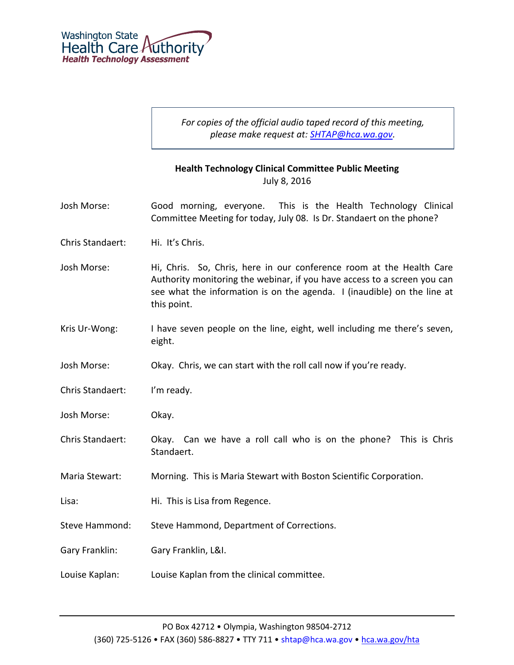

*For copies of the official audio taped record of this meeting, please make request at: [SHTAP@hca.wa.gov.](mailto:SHTAP@hca.wa.gov)*

## **Health Technology Clinical Committee Public Meeting** July 8, 2016

- Josh Morse: Good morning, everyone. This is the Health Technology Clinical Committee Meeting for today, July 08. Is Dr. Standaert on the phone?
- Chris Standaert: Hi. It's Chris.
- Josh Morse: Hi, Chris. So, Chris, here in our conference room at the Health Care Authority monitoring the webinar, if you have access to a screen you can see what the information is on the agenda. I (inaudible) on the line at this point.
- Kris Ur-Wong: I have seven people on the line, eight, well including me there's seven, eight.
- Josh Morse: Okay. Chris, we can start with the roll call now if you're ready.
- Chris Standaert: I'm ready.
- Josh Morse: Okay.
- Chris Standaert: Okay. Can we have a roll call who is on the phone? This is Chris Standaert.
- Maria Stewart: Morning. This is Maria Stewart with Boston Scientific Corporation.
- Lisa: Hi. This is Lisa from Regence.
- Steve Hammond: Steve Hammond, Department of Corrections.
- Gary Franklin: Gary Franklin, L&I.
- Louise Kaplan: Louise Kaplan from the clinical committee.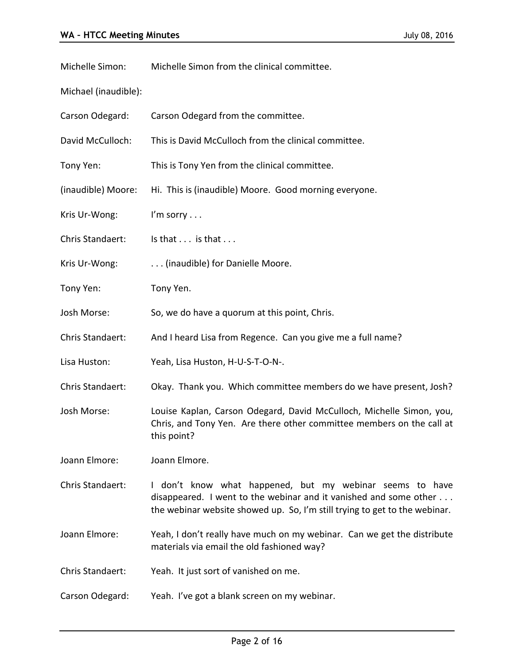Michelle Simon: Michelle Simon from the clinical committee.

Michael (inaudible):

| Carson Odegard: | Carson Odegard from the committee. |
|-----------------|------------------------------------|
|                 |                                    |

David McCulloch: This is David McCulloch from the clinical committee.

Tony Yen: This is Tony Yen from the clinical committee.

(inaudible) Moore: Hi. This is (inaudible) Moore. Good morning everyone.

Kris Ur-Wong: I'm sorry ...

Chris Standaert: Is that . . . is that . . .

Kris Ur-Wong: ... (inaudible) for Danielle Moore.

Tony Yen: Tony Yen.

Josh Morse: So, we do have a quorum at this point, Chris.

Chris Standaert: And I heard Lisa from Regence. Can you give me a full name?

Lisa Huston: Yeah, Lisa Huston, H-U-S-T-O-N-.

Chris Standaert: Okay. Thank you. Which committee members do we have present, Josh?

Josh Morse: Louise Kaplan, Carson Odegard, David McCulloch, Michelle Simon, you, Chris, and Tony Yen. Are there other committee members on the call at this point?

Joann Elmore: Joann Elmore.

Chris Standaert: I don't know what happened, but my webinar seems to have disappeared. I went to the webinar and it vanished and some other . . . the webinar website showed up. So, I'm still trying to get to the webinar.

Joann Elmore: Yeah, I don't really have much on my webinar. Can we get the distribute materials via email the old fashioned way?

Chris Standaert: Yeah. It just sort of vanished on me.

Carson Odegard: Yeah. I've got a blank screen on my webinar.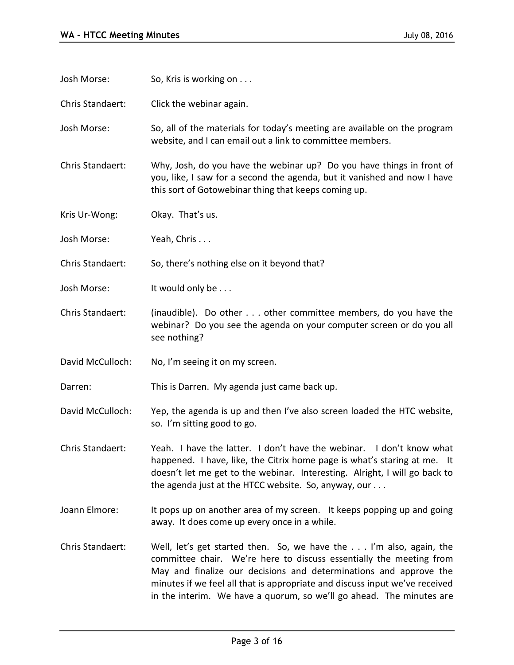Josh Morse: So, Kris is working on . . . Chris Standaert: Click the webinar again. Josh Morse: So, all of the materials for today's meeting are available on the program website, and I can email out a link to committee members. Chris Standaert: Why, Josh, do you have the webinar up? Do you have things in front of you, like, I saw for a second the agenda, but it vanished and now I have this sort of Gotowebinar thing that keeps coming up. Kris Ur-Wong: Okay. That's us. Josh Morse: Yeah, Chris . . . Chris Standaert: So, there's nothing else on it beyond that? Josh Morse: It would only be . . . Chris Standaert: (inaudible). Do other . . . other committee members, do you have the webinar? Do you see the agenda on your computer screen or do you all see nothing? David McCulloch: No, I'm seeing it on my screen. Darren: This is Darren. My agenda just came back up. David McCulloch: Yep, the agenda is up and then I've also screen loaded the HTC website, so. I'm sitting good to go. Chris Standaert: Yeah. I have the latter. I don't have the webinar. I don't know what happened. I have, like, the Citrix home page is what's staring at me. It doesn't let me get to the webinar. Interesting. Alright, I will go back to the agenda just at the HTCC website. So, anyway, our . . . Joann Elmore: It pops up on another area of my screen. It keeps popping up and going away. It does come up every once in a while. Chris Standaert: Well, let's get started then. So, we have the . . . I'm also, again, the committee chair. We're here to discuss essentially the meeting from May and finalize our decisions and determinations and approve the minutes if we feel all that is appropriate and discuss input we've received

in the interim. We have a quorum, so we'll go ahead. The minutes are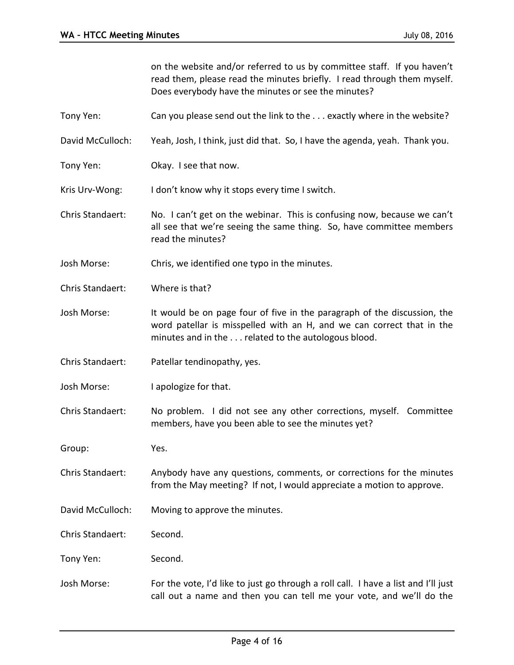on the website and/or referred to us by committee staff. If you haven't read them, please read the minutes briefly. I read through them myself. Does everybody have the minutes or see the minutes?

Tony Yen: Can you please send out the link to the . . . exactly where in the website?

David McCulloch: Yeah, Josh, I think, just did that. So, I have the agenda, yeah. Thank you.

Tony Yen: Okay. I see that now.

Kris Urv-Wong: I don't know why it stops every time I switch.

- Chris Standaert: No. I can't get on the webinar. This is confusing now, because we can't all see that we're seeing the same thing. So, have committee members read the minutes?
- Josh Morse: Chris, we identified one typo in the minutes.
- Chris Standaert: Where is that?
- Josh Morse: It would be on page four of five in the paragraph of the discussion, the word patellar is misspelled with an H, and we can correct that in the minutes and in the . . . related to the autologous blood.
- Chris Standaert: Patellar tendinopathy, yes.
- Josh Morse: I apologize for that.
- Chris Standaert: No problem. I did not see any other corrections, myself. Committee members, have you been able to see the minutes yet?
- Group: Yes.
- Chris Standaert: Anybody have any questions, comments, or corrections for the minutes from the May meeting? If not, I would appreciate a motion to approve.
- David McCulloch: Moving to approve the minutes.
- Chris Standaert: Second.
- Tony Yen: Second.
- Josh Morse: For the vote, I'd like to just go through a roll call. I have a list and I'll just call out a name and then you can tell me your vote, and we'll do the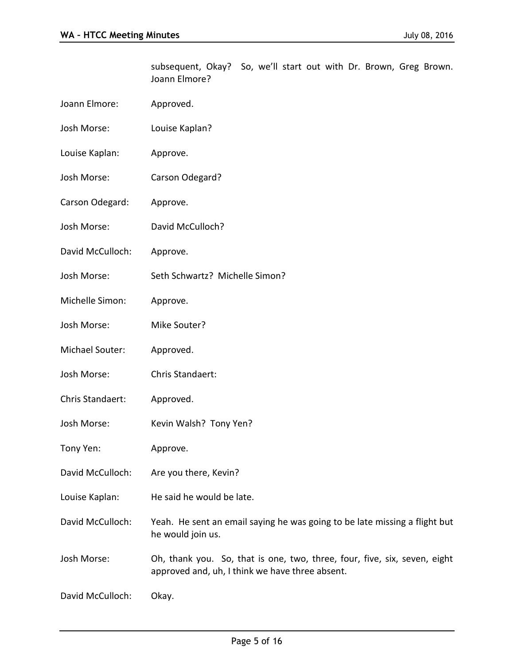|                  | subsequent, Okay? So, we'll start out with Dr. Brown, Greg Brown.<br>Joann Elmore?                                           |
|------------------|------------------------------------------------------------------------------------------------------------------------------|
| Joann Elmore:    | Approved.                                                                                                                    |
| Josh Morse:      | Louise Kaplan?                                                                                                               |
| Louise Kaplan:   | Approve.                                                                                                                     |
| Josh Morse:      | Carson Odegard?                                                                                                              |
| Carson Odegard:  | Approve.                                                                                                                     |
| Josh Morse:      | David McCulloch?                                                                                                             |
| David McCulloch: | Approve.                                                                                                                     |
| Josh Morse:      | Seth Schwartz? Michelle Simon?                                                                                               |
| Michelle Simon:  | Approve.                                                                                                                     |
| Josh Morse:      | Mike Souter?                                                                                                                 |
| Michael Souter:  | Approved.                                                                                                                    |
| Josh Morse:      | Chris Standaert:                                                                                                             |
| Chris Standaert: | Approved.                                                                                                                    |
| Josh Morse:      | Kevin Walsh? Tony Yen?                                                                                                       |
| Tony Yen:        | Approve.                                                                                                                     |
| David McCulloch: | Are you there, Kevin?                                                                                                        |
| Louise Kaplan:   | He said he would be late.                                                                                                    |
| David McCulloch: | Yeah. He sent an email saying he was going to be late missing a flight but<br>he would join us.                              |
| Josh Morse:      | Oh, thank you. So, that is one, two, three, four, five, six, seven, eight<br>approved and, uh, I think we have three absent. |
| David McCulloch: | Okay.                                                                                                                        |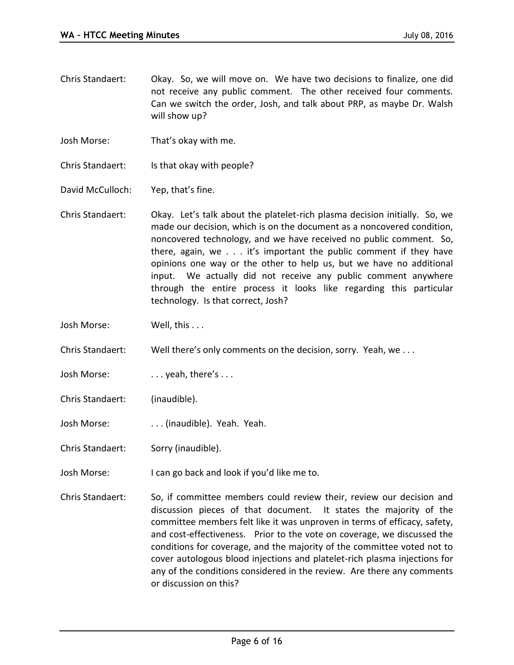- Chris Standaert: Okay. So, we will move on. We have two decisions to finalize, one did not receive any public comment. The other received four comments. Can we switch the order, Josh, and talk about PRP, as maybe Dr. Walsh will show up?
- Josh Morse: That's okay with me.
- Chris Standaert: Is that okay with people?
- David McCulloch: Yep, that's fine.
- Chris Standaert: Okay. Let's talk about the platelet-rich plasma decision initially. So, we made our decision, which is on the document as a noncovered condition, noncovered technology, and we have received no public comment. So, there, again, we . . . it's important the public comment if they have opinions one way or the other to help us, but we have no additional input. We actually did not receive any public comment anywhere through the entire process it looks like regarding this particular technology. Is that correct, Josh?
- Josh Morse: Well, this ...
- Chris Standaert: Well there's only comments on the decision, sorry. Yeah, we . . .
- Josh Morse: ... yeah, there's ...
- Chris Standaert: (inaudible).
- Josh Morse: ... (inaudible). Yeah. Yeah.
- Chris Standaert: Sorry (inaudible).
- Josh Morse: I can go back and look if you'd like me to.
- Chris Standaert: So, if committee members could review their, review our decision and discussion pieces of that document. It states the majority of the committee members felt like it was unproven in terms of efficacy, safety, and cost-effectiveness. Prior to the vote on coverage, we discussed the conditions for coverage, and the majority of the committee voted not to cover autologous blood injections and platelet-rich plasma injections for any of the conditions considered in the review. Are there any comments or discussion on this?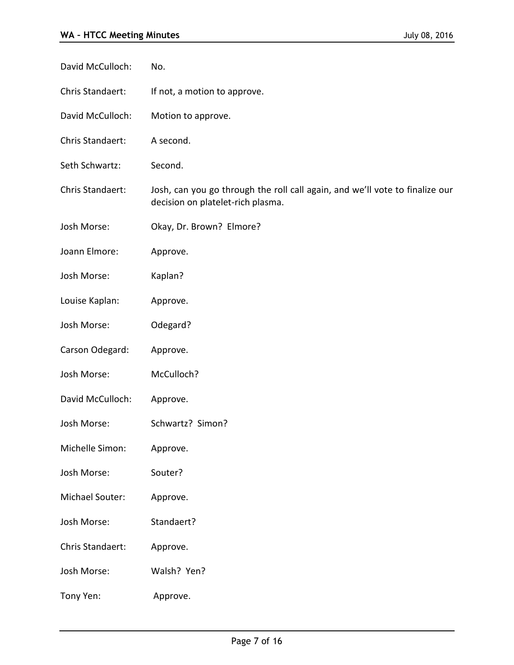| David McCulloch: | No.                                                                                                               |
|------------------|-------------------------------------------------------------------------------------------------------------------|
| Chris Standaert: | If not, a motion to approve.                                                                                      |
| David McCulloch: | Motion to approve.                                                                                                |
| Chris Standaert: | A second.                                                                                                         |
| Seth Schwartz:   | Second.                                                                                                           |
| Chris Standaert: | Josh, can you go through the roll call again, and we'll vote to finalize our<br>decision on platelet-rich plasma. |
| Josh Morse:      | Okay, Dr. Brown? Elmore?                                                                                          |
| Joann Elmore:    | Approve.                                                                                                          |
| Josh Morse:      | Kaplan?                                                                                                           |
| Louise Kaplan:   | Approve.                                                                                                          |
| Josh Morse:      | Odegard?                                                                                                          |
| Carson Odegard:  | Approve.                                                                                                          |
| Josh Morse:      | McCulloch?                                                                                                        |
| David McCulloch: | Approve.                                                                                                          |
| Josh Morse:      | Schwartz? Simon?                                                                                                  |
| Michelle Simon:  | Approve.                                                                                                          |
| Josh Morse:      | Souter?                                                                                                           |
| Michael Souter:  | Approve.                                                                                                          |
| Josh Morse:      | Standaert?                                                                                                        |
| Chris Standaert: | Approve.                                                                                                          |
| Josh Morse:      | Walsh? Yen?                                                                                                       |
| Tony Yen:        | Approve.                                                                                                          |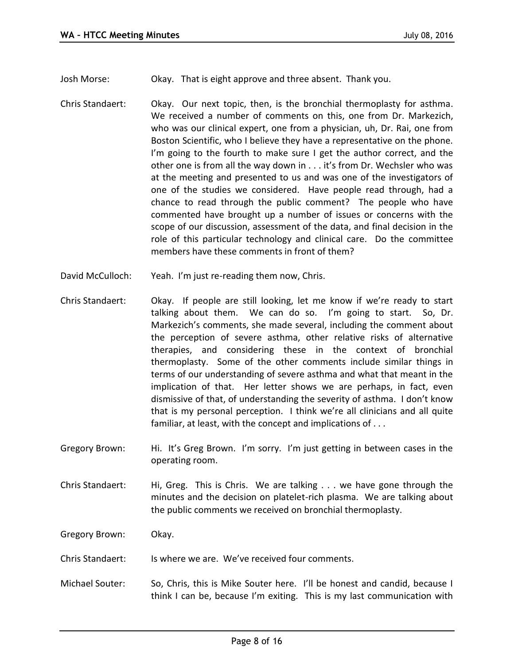Josh Morse: Okay. That is eight approve and three absent. Thank you.

- Chris Standaert: Okay. Our next topic, then, is the bronchial thermoplasty for asthma. We received a number of comments on this, one from Dr. Markezich, who was our clinical expert, one from a physician, uh, Dr. Rai, one from Boston Scientific, who I believe they have a representative on the phone. I'm going to the fourth to make sure I get the author correct, and the other one is from all the way down in . . . it's from Dr. Wechsler who was at the meeting and presented to us and was one of the investigators of one of the studies we considered. Have people read through, had a chance to read through the public comment? The people who have commented have brought up a number of issues or concerns with the scope of our discussion, assessment of the data, and final decision in the role of this particular technology and clinical care. Do the committee members have these comments in front of them?
- David McCulloch: Yeah. I'm just re-reading them now, Chris.
- Chris Standaert: Okay. If people are still looking, let me know if we're ready to start talking about them. We can do so. I'm going to start. So, Dr. Markezich's comments, she made several, including the comment about the perception of severe asthma, other relative risks of alternative therapies, and considering these in the context of bronchial thermoplasty. Some of the other comments include similar things in terms of our understanding of severe asthma and what that meant in the implication of that. Her letter shows we are perhaps, in fact, even dismissive of that, of understanding the severity of asthma. I don't know that is my personal perception. I think we're all clinicians and all quite familiar, at least, with the concept and implications of . . .
- Gregory Brown: Hi. It's Greg Brown. I'm sorry. I'm just getting in between cases in the operating room.
- Chris Standaert: Hi, Greg. This is Chris. We are talking . . . we have gone through the minutes and the decision on platelet-rich plasma. We are talking about the public comments we received on bronchial thermoplasty.

Gregory Brown: Okay.

- Chris Standaert: Is where we are. We've received four comments.
- Michael Souter: So, Chris, this is Mike Souter here. I'll be honest and candid, because I think I can be, because I'm exiting. This is my last communication with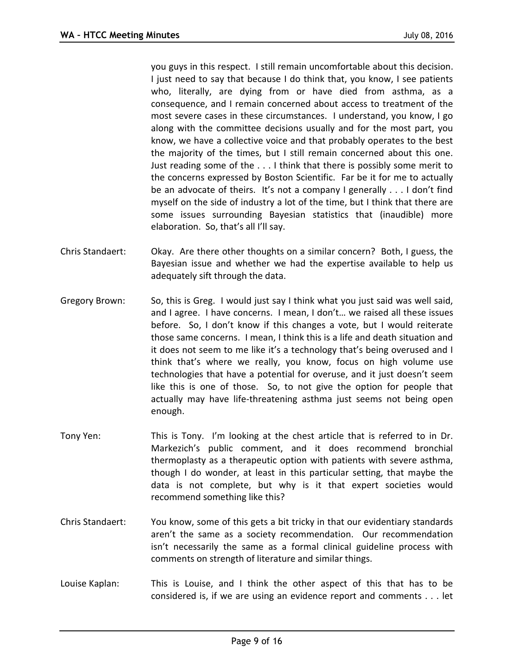you guys in this respect. I still remain uncomfortable about this decision. I just need to say that because I do think that, you know, I see patients who, literally, are dying from or have died from asthma, as a consequence, and I remain concerned about access to treatment of the most severe cases in these circumstances. I understand, you know, I go along with the committee decisions usually and for the most part, you know, we have a collective voice and that probably operates to the best the majority of the times, but I still remain concerned about this one. Just reading some of the . . . I think that there is possibly some merit to the concerns expressed by Boston Scientific. Far be it for me to actually be an advocate of theirs. It's not a company I generally . . . I don't find myself on the side of industry a lot of the time, but I think that there are some issues surrounding Bayesian statistics that (inaudible) more elaboration. So, that's all I'll say.

- Chris Standaert: Okay. Are there other thoughts on a similar concern? Both, I guess, the Bayesian issue and whether we had the expertise available to help us adequately sift through the data.
- Gregory Brown: So, this is Greg. I would just say I think what you just said was well said, and I agree. I have concerns. I mean, I don't… we raised all these issues before. So, I don't know if this changes a vote, but I would reiterate those same concerns. I mean, I think this is a life and death situation and it does not seem to me like it's a technology that's being overused and I think that's where we really, you know, focus on high volume use technologies that have a potential for overuse, and it just doesn't seem like this is one of those. So, to not give the option for people that actually may have life-threatening asthma just seems not being open enough.
- Tony Yen: This is Tony. I'm looking at the chest article that is referred to in Dr. Markezich's public comment, and it does recommend bronchial thermoplasty as a therapeutic option with patients with severe asthma, though I do wonder, at least in this particular setting, that maybe the data is not complete, but why is it that expert societies would recommend something like this?
- Chris Standaert: You know, some of this gets a bit tricky in that our evidentiary standards aren't the same as a society recommendation. Our recommendation isn't necessarily the same as a formal clinical guideline process with comments on strength of literature and similar things.
- Louise Kaplan: This is Louise, and I think the other aspect of this that has to be considered is, if we are using an evidence report and comments . . . let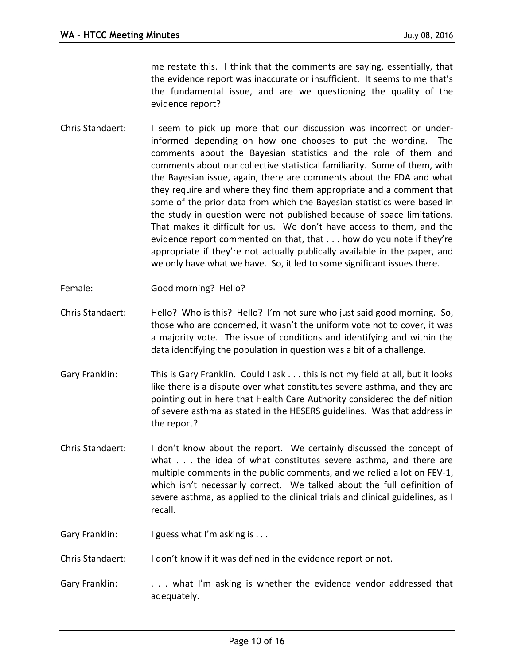me restate this. I think that the comments are saying, essentially, that the evidence report was inaccurate or insufficient. It seems to me that's the fundamental issue, and are we questioning the quality of the evidence report?

- Chris Standaert: I seem to pick up more that our discussion was incorrect or underinformed depending on how one chooses to put the wording. The comments about the Bayesian statistics and the role of them and comments about our collective statistical familiarity. Some of them, with the Bayesian issue, again, there are comments about the FDA and what they require and where they find them appropriate and a comment that some of the prior data from which the Bayesian statistics were based in the study in question were not published because of space limitations. That makes it difficult for us. We don't have access to them, and the evidence report commented on that, that . . . how do you note if they're appropriate if they're not actually publically available in the paper, and we only have what we have. So, it led to some significant issues there.
- Female: Good morning? Hello?
- Chris Standaert: Hello? Who is this? Hello? I'm not sure who just said good morning. So, those who are concerned, it wasn't the uniform vote not to cover, it was a majority vote. The issue of conditions and identifying and within the data identifying the population in question was a bit of a challenge.
- Gary Franklin: This is Gary Franklin. Could I ask . . . this is not my field at all, but it looks like there is a dispute over what constitutes severe asthma, and they are pointing out in here that Health Care Authority considered the definition of severe asthma as stated in the HESERS guidelines. Was that address in the report?
- Chris Standaert: I don't know about the report. We certainly discussed the concept of what . . . the idea of what constitutes severe asthma, and there are multiple comments in the public comments, and we relied a lot on FEV-1, which isn't necessarily correct. We talked about the full definition of severe asthma, as applied to the clinical trials and clinical guidelines, as I recall.
- Gary Franklin: I guess what I'm asking is . . .
- Chris Standaert: I don't know if it was defined in the evidence report or not.
- Gary Franklin: . . . . what I'm asking is whether the evidence vendor addressed that adequately.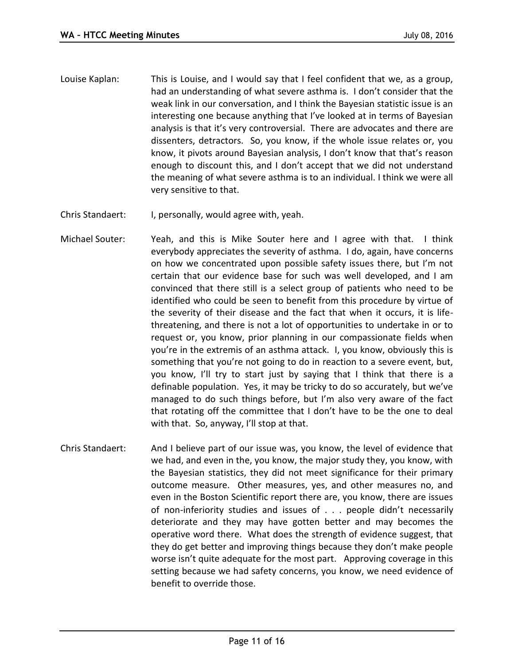- Louise Kaplan: This is Louise, and I would say that I feel confident that we, as a group, had an understanding of what severe asthma is. I don't consider that the weak link in our conversation, and I think the Bayesian statistic issue is an interesting one because anything that I've looked at in terms of Bayesian analysis is that it's very controversial. There are advocates and there are dissenters, detractors. So, you know, if the whole issue relates or, you know, it pivots around Bayesian analysis, I don't know that that's reason enough to discount this, and I don't accept that we did not understand the meaning of what severe asthma is to an individual. I think we were all very sensitive to that.
- Chris Standaert: I, personally, would agree with, yeah.
- Michael Souter: Yeah, and this is Mike Souter here and I agree with that. I think everybody appreciates the severity of asthma. I do, again, have concerns on how we concentrated upon possible safety issues there, but I'm not certain that our evidence base for such was well developed, and I am convinced that there still is a select group of patients who need to be identified who could be seen to benefit from this procedure by virtue of the severity of their disease and the fact that when it occurs, it is lifethreatening, and there is not a lot of opportunities to undertake in or to request or, you know, prior planning in our compassionate fields when you're in the extremis of an asthma attack. I, you know, obviously this is something that you're not going to do in reaction to a severe event, but, you know, I'll try to start just by saying that I think that there is a definable population. Yes, it may be tricky to do so accurately, but we've managed to do such things before, but I'm also very aware of the fact that rotating off the committee that I don't have to be the one to deal with that. So, anyway, I'll stop at that.
- Chris Standaert: And I believe part of our issue was, you know, the level of evidence that we had, and even in the, you know, the major study they, you know, with the Bayesian statistics, they did not meet significance for their primary outcome measure. Other measures, yes, and other measures no, and even in the Boston Scientific report there are, you know, there are issues of non-inferiority studies and issues of . . . people didn't necessarily deteriorate and they may have gotten better and may becomes the operative word there. What does the strength of evidence suggest, that they do get better and improving things because they don't make people worse isn't quite adequate for the most part. Approving coverage in this setting because we had safety concerns, you know, we need evidence of benefit to override those.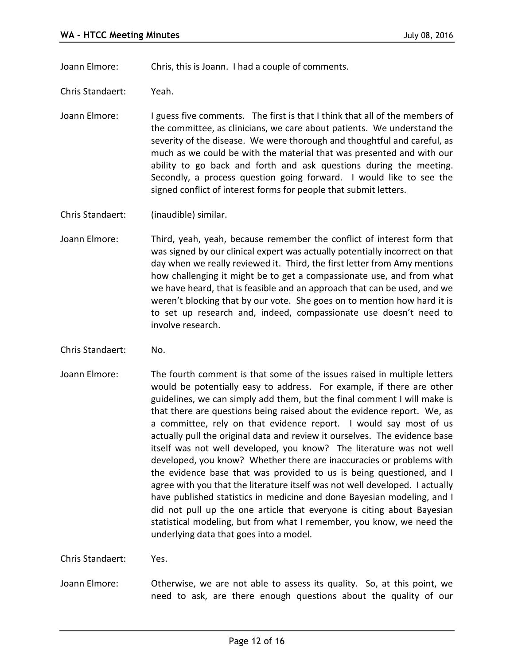Joann Elmore: Chris, this is Joann. I had a couple of comments.

Chris Standaert: Yeah.

Joann Elmore: I guess five comments. The first is that I think that all of the members of the committee, as clinicians, we care about patients. We understand the severity of the disease. We were thorough and thoughtful and careful, as much as we could be with the material that was presented and with our ability to go back and forth and ask questions during the meeting. Secondly, a process question going forward. I would like to see the signed conflict of interest forms for people that submit letters.

Chris Standaert: (inaudible) similar.

- Joann Elmore: Third, yeah, yeah, because remember the conflict of interest form that was signed by our clinical expert was actually potentially incorrect on that day when we really reviewed it. Third, the first letter from Amy mentions how challenging it might be to get a compassionate use, and from what we have heard, that is feasible and an approach that can be used, and we weren't blocking that by our vote. She goes on to mention how hard it is to set up research and, indeed, compassionate use doesn't need to involve research.
- Chris Standaert: No.
- Joann Elmore: The fourth comment is that some of the issues raised in multiple letters would be potentially easy to address. For example, if there are other guidelines, we can simply add them, but the final comment I will make is that there are questions being raised about the evidence report. We, as a committee, rely on that evidence report. I would say most of us actually pull the original data and review it ourselves. The evidence base itself was not well developed, you know? The literature was not well developed, you know? Whether there are inaccuracies or problems with the evidence base that was provided to us is being questioned, and I agree with you that the literature itself was not well developed. I actually have published statistics in medicine and done Bayesian modeling, and I did not pull up the one article that everyone is citing about Bayesian statistical modeling, but from what I remember, you know, we need the underlying data that goes into a model.

Chris Standaert: Yes.

Joann Elmore: Otherwise, we are not able to assess its quality. So, at this point, we need to ask, are there enough questions about the quality of our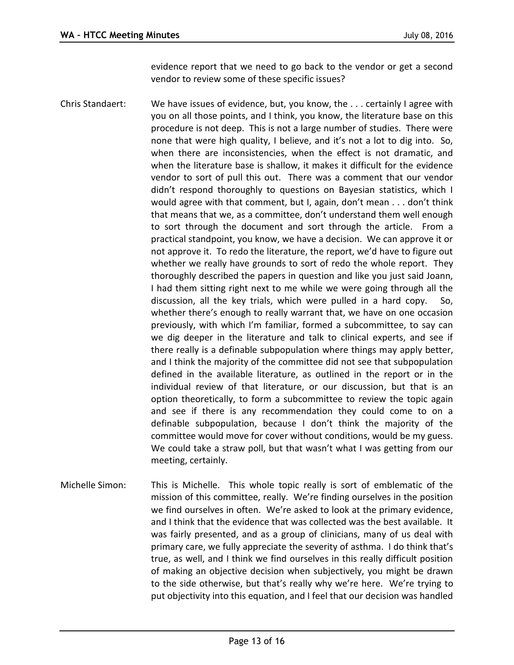evidence report that we need to go back to the vendor or get a second vendor to review some of these specific issues?

- Chris Standaert: We have issues of evidence, but, you know, the . . . certainly I agree with you on all those points, and I think, you know, the literature base on this procedure is not deep. This is not a large number of studies. There were none that were high quality, I believe, and it's not a lot to dig into. So, when there are inconsistencies, when the effect is not dramatic, and when the literature base is shallow, it makes it difficult for the evidence vendor to sort of pull this out. There was a comment that our vendor didn't respond thoroughly to questions on Bayesian statistics, which I would agree with that comment, but I, again, don't mean . . . don't think that means that we, as a committee, don't understand them well enough to sort through the document and sort through the article. From a practical standpoint, you know, we have a decision. We can approve it or not approve it. To redo the literature, the report, we'd have to figure out whether we really have grounds to sort of redo the whole report. They thoroughly described the papers in question and like you just said Joann, I had them sitting right next to me while we were going through all the discussion, all the key trials, which were pulled in a hard copy. So, whether there's enough to really warrant that, we have on one occasion previously, with which I'm familiar, formed a subcommittee, to say can we dig deeper in the literature and talk to clinical experts, and see if there really is a definable subpopulation where things may apply better, and I think the majority of the committee did not see that subpopulation defined in the available literature, as outlined in the report or in the individual review of that literature, or our discussion, but that is an option theoretically, to form a subcommittee to review the topic again and see if there is any recommendation they could come to on a definable subpopulation, because I don't think the majority of the committee would move for cover without conditions, would be my guess. We could take a straw poll, but that wasn't what I was getting from our meeting, certainly.
- Michelle Simon: This is Michelle. This whole topic really is sort of emblematic of the mission of this committee, really. We're finding ourselves in the position we find ourselves in often. We're asked to look at the primary evidence, and I think that the evidence that was collected was the best available. It was fairly presented, and as a group of clinicians, many of us deal with primary care, we fully appreciate the severity of asthma. I do think that's true, as well, and I think we find ourselves in this really difficult position of making an objective decision when subjectively, you might be drawn to the side otherwise, but that's really why we're here. We're trying to put objectivity into this equation, and I feel that our decision was handled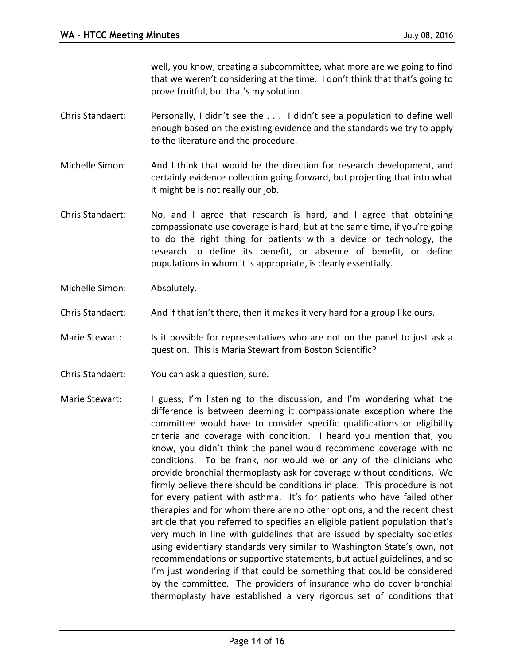well, you know, creating a subcommittee, what more are we going to find that we weren't considering at the time. I don't think that that's going to prove fruitful, but that's my solution.

- Chris Standaert: Personally, I didn't see the . . . I didn't see a population to define well enough based on the existing evidence and the standards we try to apply to the literature and the procedure.
- Michelle Simon: And I think that would be the direction for research development, and certainly evidence collection going forward, but projecting that into what it might be is not really our job.
- Chris Standaert: No, and I agree that research is hard, and I agree that obtaining compassionate use coverage is hard, but at the same time, if you're going to do the right thing for patients with a device or technology, the research to define its benefit, or absence of benefit, or define populations in whom it is appropriate, is clearly essentially.
- Michelle Simon: Absolutely.
- Chris Standaert: And if that isn't there, then it makes it very hard for a group like ours.
- Marie Stewart: Is it possible for representatives who are not on the panel to just ask a question. This is Maria Stewart from Boston Scientific?
- Chris Standaert: You can ask a question, sure.
- Marie Stewart: I guess, I'm listening to the discussion, and I'm wondering what the difference is between deeming it compassionate exception where the committee would have to consider specific qualifications or eligibility criteria and coverage with condition. I heard you mention that, you know, you didn't think the panel would recommend coverage with no conditions. To be frank, nor would we or any of the clinicians who provide bronchial thermoplasty ask for coverage without conditions. We firmly believe there should be conditions in place. This procedure is not for every patient with asthma. It's for patients who have failed other therapies and for whom there are no other options, and the recent chest article that you referred to specifies an eligible patient population that's very much in line with guidelines that are issued by specialty societies using evidentiary standards very similar to Washington State's own, not recommendations or supportive statements, but actual guidelines, and so I'm just wondering if that could be something that could be considered by the committee. The providers of insurance who do cover bronchial thermoplasty have established a very rigorous set of conditions that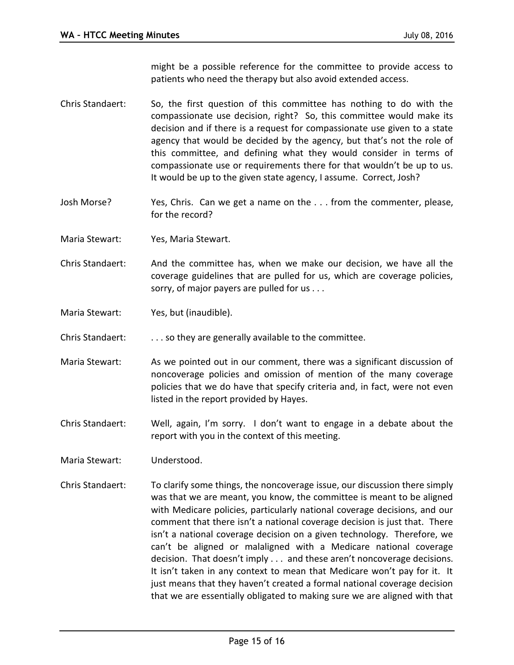might be a possible reference for the committee to provide access to patients who need the therapy but also avoid extended access.

- Chris Standaert: So, the first question of this committee has nothing to do with the compassionate use decision, right? So, this committee would make its decision and if there is a request for compassionate use given to a state agency that would be decided by the agency, but that's not the role of this committee, and defining what they would consider in terms of compassionate use or requirements there for that wouldn't be up to us. It would be up to the given state agency, I assume. Correct, Josh?
- Josh Morse? Yes, Chris. Can we get a name on the . . . from the commenter, please, for the record?
- Maria Stewart: Yes, Maria Stewart.
- Chris Standaert: And the committee has, when we make our decision, we have all the coverage guidelines that are pulled for us, which are coverage policies, sorry, of major payers are pulled for us . . .
- Maria Stewart: Yes, but (inaudible).
- Chris Standaert: . . . . . so they are generally available to the committee.
- Maria Stewart: As we pointed out in our comment, there was a significant discussion of noncoverage policies and omission of mention of the many coverage policies that we do have that specify criteria and, in fact, were not even listed in the report provided by Hayes.
- Chris Standaert: Well, again, I'm sorry. I don't want to engage in a debate about the report with you in the context of this meeting.
- Maria Stewart: Understood.
- Chris Standaert: To clarify some things, the noncoverage issue, our discussion there simply was that we are meant, you know, the committee is meant to be aligned with Medicare policies, particularly national coverage decisions, and our comment that there isn't a national coverage decision is just that. There isn't a national coverage decision on a given technology. Therefore, we can't be aligned or malaligned with a Medicare national coverage decision. That doesn't imply . . . and these aren't noncoverage decisions. It isn't taken in any context to mean that Medicare won't pay for it. It just means that they haven't created a formal national coverage decision that we are essentially obligated to making sure we are aligned with that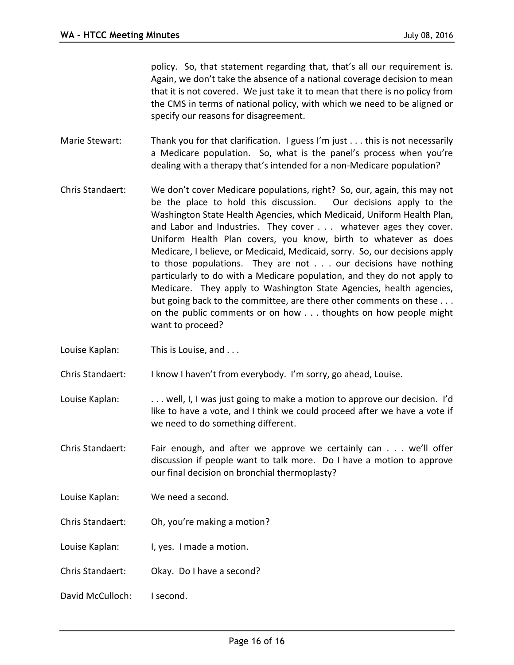policy. So, that statement regarding that, that's all our requirement is. Again, we don't take the absence of a national coverage decision to mean that it is not covered. We just take it to mean that there is no policy from the CMS in terms of national policy, with which we need to be aligned or specify our reasons for disagreement.

- Marie Stewart: Thank you for that clarification. I guess I'm just . . . this is not necessarily a Medicare population. So, what is the panel's process when you're dealing with a therapy that's intended for a non-Medicare population?
- Chris Standaert: We don't cover Medicare populations, right? So, our, again, this may not be the place to hold this discussion. Our decisions apply to the Washington State Health Agencies, which Medicaid, Uniform Health Plan, and Labor and Industries. They cover . . . whatever ages they cover. Uniform Health Plan covers, you know, birth to whatever as does Medicare, I believe, or Medicaid, Medicaid, sorry. So, our decisions apply to those populations. They are not . . . our decisions have nothing particularly to do with a Medicare population, and they do not apply to Medicare. They apply to Washington State Agencies, health agencies, but going back to the committee, are there other comments on these . . . on the public comments or on how . . . thoughts on how people might want to proceed?
- Louise Kaplan: This is Louise, and ...
- Chris Standaert: I know I haven't from everybody. I'm sorry, go ahead, Louise.
- Louise Kaplan: . . . . . well, I, I was just going to make a motion to approve our decision. I'd like to have a vote, and I think we could proceed after we have a vote if we need to do something different.
- Chris Standaert: Fair enough, and after we approve we certainly can . . . we'll offer discussion if people want to talk more. Do I have a motion to approve our final decision on bronchial thermoplasty?
- Louise Kaplan: We need a second.
- Chris Standaert: Oh, you're making a motion?
- Louise Kaplan: I, yes. I made a motion.
- Chris Standaert: Okay. Do I have a second?
- David McCulloch: I second.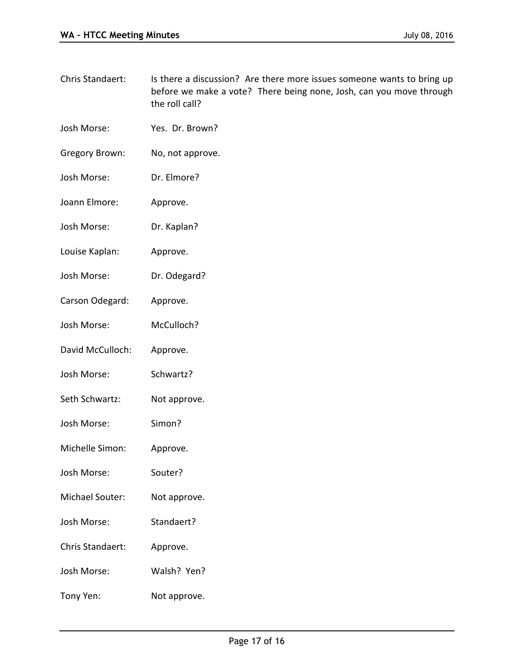- Chris Standaert: Is there a discussion? Are there more issues someone wants to bring up before we make a vote? There being none, Josh, can you move through the roll call?
- Josh Morse: Yes. Dr. Brown?
- Gregory Brown: No, not approve.
- Josh Morse: Dr. Elmore?
- Joann Elmore: Approve.
- Josh Morse: Dr. Kaplan?
- Louise Kaplan: Approve.
- Josh Morse: Dr. Odegard?
- Carson Odegard: Approve.
- Josh Morse: McCulloch?
- David McCulloch: Approve.
- Josh Morse: Schwartz?
- Seth Schwartz: Not approve.
- Josh Morse: Simon?
- Michelle Simon: Approve.
- Josh Morse: Souter?
- Michael Souter: Not approve.
- Josh Morse: Standaert?
- Chris Standaert: Approve.
- Josh Morse: Walsh? Yen?
- Tony Yen: Not approve.